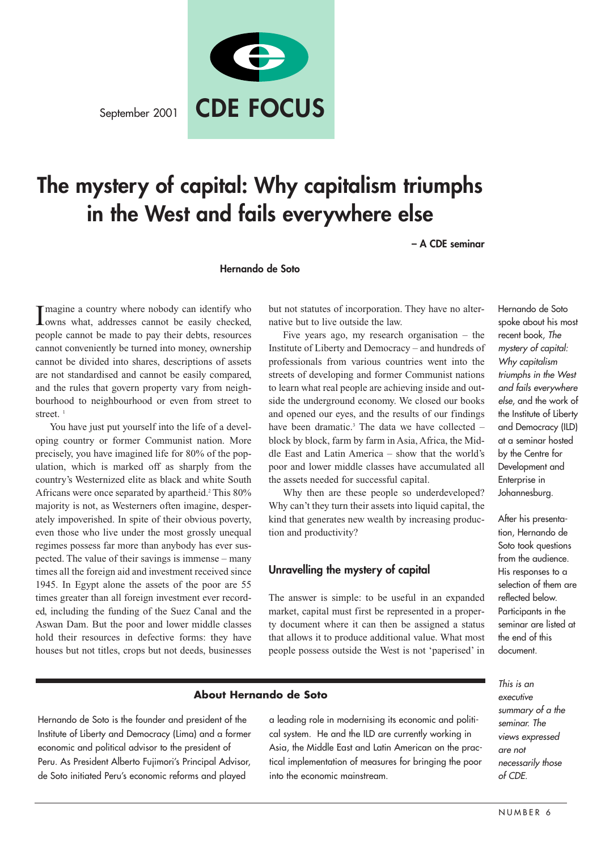September 2001



# **The mystery of capital: Why capitalism triumphs in the West and fails everywhere else**

**– A CDE seminar**

#### **Hernando de Soto**

Imagine a country where nobody can identify who<br>Iowns what, addresses cannot be easily checked, owns what, addresses cannot be easily checked, people cannot be made to pay their debts, resources cannot conveniently be turned into money, ownership cannot be divided into shares, descriptions of assets are not standardised and cannot be easily compared, and the rules that govern property vary from neighbourhood to neighbourhood or even from street to street. $1$ 

You have just put yourself into the life of a developing country or former Communist nation. More precisely, you have imagined life for 80% of the population, which is marked off as sharply from the country's Westernized elite as black and white South Africans were once separated by apartheid.<sup>2</sup> This 80% majority is not, as Westerners often imagine, desperately impoverished. In spite of their obvious poverty, even those who live under the most grossly unequal regimes possess far more than anybody has ever suspected. The value of their savings is immense – many times all the foreign aid and investment received since 1945. In Egypt alone the assets of the poor are 55 times greater than all foreign investment ever recorded, including the funding of the Suez Canal and the Aswan Dam. But the poor and lower middle classes hold their resources in defective forms: they have houses but not titles, crops but not deeds, businesses

but not statutes of incorporation. They have no alternative but to live outside the law.

Five years ago, my research organisation – the Institute of Liberty and Democracy – and hundreds of professionals from various countries went into the streets of developing and former Communist nations to learn what real people are achieving inside and outside the underground economy. We closed our books and opened our eyes, and the results of our findings have been dramatic.<sup>3</sup> The data we have collected  $$ block by block, farm by farm in Asia, Africa, the Middle East and Latin America – show that the world's poor and lower middle classes have accumulated all the assets needed for successful capital.

Why then are these people so underdeveloped? Why can't they turn their assets into liquid capital, the kind that generates new wealth by increasing production and productivity?

## **Unravelling the mystery of capital**

The answer is simple: to be useful in an expanded market, capital must first be represented in a property document where it can then be assigned a status that allows it to produce additional value. What most people possess outside the West is not 'paperised' in

## **About Hernando de Soto**

Hernando de Soto is the founder and president of the Institute of Liberty and Democracy (Lima) and a former economic and political advisor to the president of Peru. As President Alberto Fujimori's Principal Advisor, de Soto initiated Peru's economic reforms and played

a leading role in modernising its economic and political system. He and the ILD are currently working in Asia, the Middle East and Latin American on the practical implementation of measures for bringing the poor into the economic mainstream.

Hernando de Soto spoke about his most recent book, The mystery of capital: Why capitalism triumphs in the West and fails everywhere else, and the work of the Institute of Liberty and Democracy (ILD) at a seminar hosted by the Centre for Development and Enterprise in Johannesburg.

After his presentation, Hernando de Soto took questions from the audience. His responses to a selection of them are reflected below. Participants in the seminar are listed at the end of this document.

This is an executive summary of a the seminar. The views expressed are not necessarily those of CDE.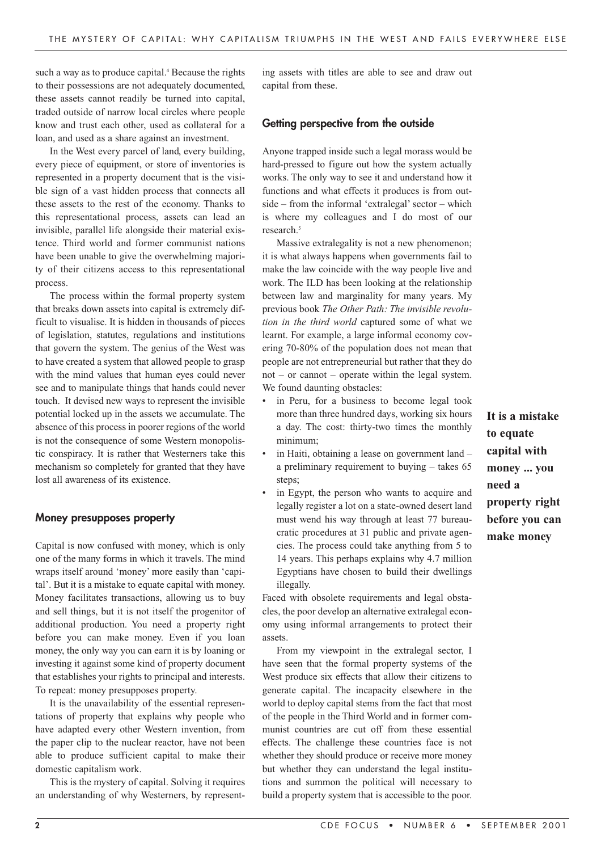such a way as to produce capital.<sup>4</sup> Because the rights to their possessions are not adequately documented, these assets cannot readily be turned into capital, traded outside of narrow local circles where people know and trust each other, used as collateral for a loan, and used as a share against an investment.

In the West every parcel of land, every building, every piece of equipment, or store of inventories is represented in a property document that is the visible sign of a vast hidden process that connects all these assets to the rest of the economy. Thanks to this representational process, assets can lead an invisible, parallel life alongside their material existence. Third world and former communist nations have been unable to give the overwhelming majority of their citizens access to this representational process.

The process within the formal property system that breaks down assets into capital is extremely difficult to visualise. It is hidden in thousands of pieces of legislation, statutes, regulations and institutions that govern the system. The genius of the West was to have created a system that allowed people to grasp with the mind values that human eyes could never see and to manipulate things that hands could never touch. It devised new ways to represent the invisible potential locked up in the assets we accumulate. The absence of this process in poorer regions of the world is not the consequence of some Western monopolistic conspiracy. It is rather that Westerners take this mechanism so completely for granted that they have lost all awareness of its existence.

#### **Money presupposes property**

Capital is now confused with money, which is only one of the many forms in which it travels. The mind wraps itself around 'money' more easily than 'capital'. But it is a mistake to equate capital with money. Money facilitates transactions, allowing us to buy and sell things, but it is not itself the progenitor of additional production. You need a property right before you can make money. Even if you loan money, the only way you can earn it is by loaning or investing it against some kind of property document that establishes your rights to principal and interests. To repeat: money presupposes property.

It is the unavailability of the essential representations of property that explains why people who have adapted every other Western invention, from the paper clip to the nuclear reactor, have not been able to produce sufficient capital to make their domestic capitalism work.

This is the mystery of capital. Solving it requires an understanding of why Westerners, by representing assets with titles are able to see and draw out capital from these.

#### **Getting perspective from the outside**

Anyone trapped inside such a legal morass would be hard-pressed to figure out how the system actually works. The only way to see it and understand how it functions and what effects it produces is from outside – from the informal 'extralegal' sector – which is where my colleagues and I do most of our research.<sup>5</sup>

Massive extralegality is not a new phenomenon; it is what always happens when governments fail to make the law coincide with the way people live and work. The ILD has been looking at the relationship between law and marginality for many years. My previous book *The Other Path: The invisible revolution in the third world* captured some of what we learnt. For example, a large informal economy covering 70-80% of the population does not mean that people are not entrepreneurial but rather that they do not – or cannot – operate within the legal system. We found daunting obstacles:

- in Peru, for a business to become legal took more than three hundred days, working six hours a day. The cost: thirty-two times the monthly minimum;
- in Haiti, obtaining a lease on government land a preliminary requirement to buying – takes 65 steps;
	- in Egypt, the person who wants to acquire and legally register a lot on a state-owned desert land must wend his way through at least 77 bureaucratic procedures at 31 public and private agencies. The process could take anything from 5 to 14 years. This perhaps explains why 4.7 million Egyptians have chosen to build their dwellings illegally.

Faced with obsolete requirements and legal obstacles, the poor develop an alternative extralegal economy using informal arrangements to protect their assets.

From my viewpoint in the extralegal sector, I have seen that the formal property systems of the West produce six effects that allow their citizens to generate capital. The incapacity elsewhere in the world to deploy capital stems from the fact that most of the people in the Third World and in former communist countries are cut off from these essential effects. The challenge these countries face is not whether they should produce or receive more money but whether they can understand the legal institutions and summon the political will necessary to build a property system that is accessible to the poor.

**It is a mistake to equate capital with money ... you need a property right before you can make money**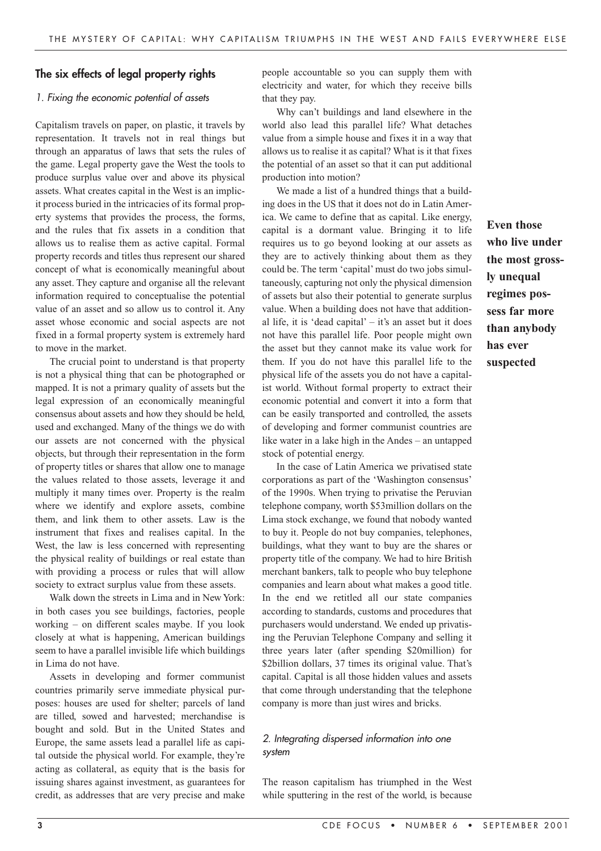# **The six effects of legal property rights**

#### 1. Fixing the economic potential of assets

Capitalism travels on paper, on plastic, it travels by representation. It travels not in real things but through an apparatus of laws that sets the rules of the game. Legal property gave the West the tools to produce surplus value over and above its physical assets. What creates capital in the West is an implicit process buried in the intricacies of its formal property systems that provides the process, the forms, and the rules that fix assets in a condition that allows us to realise them as active capital. Formal property records and titles thus represent our shared concept of what is economically meaningful about any asset. They capture and organise all the relevant information required to conceptualise the potential value of an asset and so allow us to control it. Any asset whose economic and social aspects are not fixed in a formal property system is extremely hard to move in the market.

The crucial point to understand is that property is not a physical thing that can be photographed or mapped. It is not a primary quality of assets but the legal expression of an economically meaningful consensus about assets and how they should be held, used and exchanged. Many of the things we do with our assets are not concerned with the physical objects, but through their representation in the form of property titles or shares that allow one to manage the values related to those assets, leverage it and multiply it many times over. Property is the realm where we identify and explore assets, combine them, and link them to other assets. Law is the instrument that fixes and realises capital. In the West, the law is less concerned with representing the physical reality of buildings or real estate than with providing a process or rules that will allow society to extract surplus value from these assets.

Walk down the streets in Lima and in New York: in both cases you see buildings, factories, people working – on different scales maybe. If you look closely at what is happening, American buildings seem to have a parallel invisible life which buildings in Lima do not have.

Assets in developing and former communist countries primarily serve immediate physical purposes: houses are used for shelter; parcels of land are tilled, sowed and harvested; merchandise is bought and sold. But in the United States and Europe, the same assets lead a parallel life as capital outside the physical world. For example, they're acting as collateral, as equity that is the basis for issuing shares against investment, as guarantees for credit, as addresses that are very precise and make

people accountable so you can supply them with electricity and water, for which they receive bills that they pay.

Why can't buildings and land elsewhere in the world also lead this parallel life? What detaches value from a simple house and fixes it in a way that allows us to realise it as capital? What is it that fixes the potential of an asset so that it can put additional production into motion?

We made a list of a hundred things that a building does in the US that it does not do in Latin America. We came to define that as capital. Like energy, capital is a dormant value. Bringing it to life requires us to go beyond looking at our assets as they are to actively thinking about them as they could be. The term 'capital' must do two jobs simultaneously, capturing not only the physical dimension of assets but also their potential to generate surplus value. When a building does not have that additional life, it is 'dead capital' – it's an asset but it does not have this parallel life. Poor people might own the asset but they cannot make its value work for them. If you do not have this parallel life to the physical life of the assets you do not have a capitalist world. Without formal property to extract their economic potential and convert it into a form that can be easily transported and controlled, the assets of developing and former communist countries are like water in a lake high in the Andes – an untapped stock of potential energy.

In the case of Latin America we privatised state corporations as part of the 'Washington consensus' of the 1990s. When trying to privatise the Peruvian telephone company, worth \$53million dollars on the Lima stock exchange, we found that nobody wanted to buy it. People do not buy companies, telephones, buildings, what they want to buy are the shares or property title of the company. We had to hire British merchant bankers, talk to people who buy telephone companies and learn about what makes a good title. In the end we retitled all our state companies according to standards, customs and procedures that purchasers would understand. We ended up privatising the Peruvian Telephone Company and selling it three years later (after spending \$20million) for \$2billion dollars, 37 times its original value. That's capital. Capital is all those hidden values and assets that come through understanding that the telephone company is more than just wires and bricks.

# 2. Integrating dispersed information into one system

The reason capitalism has triumphed in the West while sputtering in the rest of the world, is because

**Even those who live under the most grossly unequal regimes possess far more than anybody has ever suspected**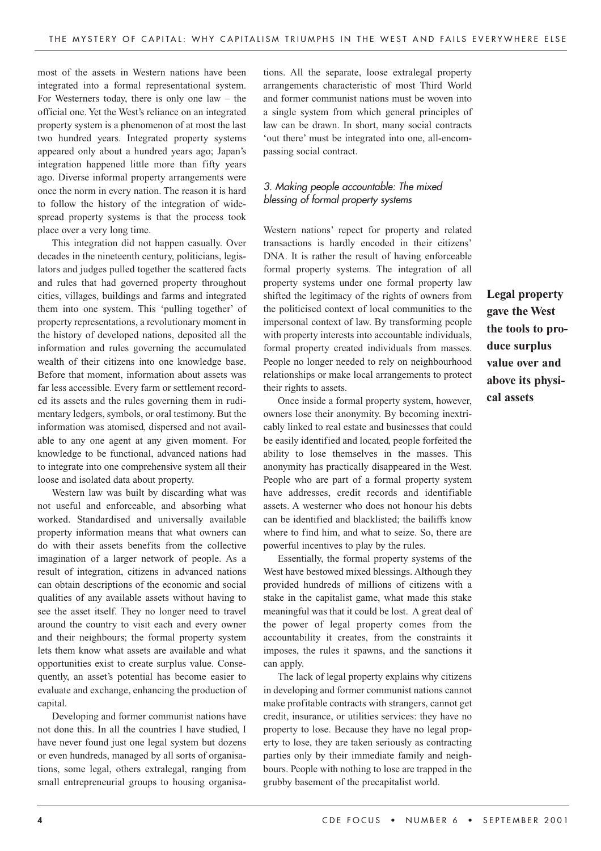most of the assets in Western nations have been integrated into a formal representational system. For Westerners today, there is only one  $law - the$ official one. Yet the West's reliance on an integrated property system is a phenomenon of at most the last two hundred years. Integrated property systems appeared only about a hundred years ago; Japan's integration happened little more than fifty years ago. Diverse informal property arrangements were once the norm in every nation. The reason it is hard to follow the history of the integration of widespread property systems is that the process took place over a very long time.

This integration did not happen casually. Over decades in the nineteenth century, politicians, legislators and judges pulled together the scattered facts and rules that had governed property throughout cities, villages, buildings and farms and integrated them into one system. This 'pulling together' of property representations, a revolutionary moment in the history of developed nations, deposited all the information and rules governing the accumulated wealth of their citizens into one knowledge base. Before that moment, information about assets was far less accessible. Every farm or settlement recorded its assets and the rules governing them in rudimentary ledgers, symbols, or oral testimony. But the information was atomised, dispersed and not available to any one agent at any given moment. For knowledge to be functional, advanced nations had to integrate into one comprehensive system all their loose and isolated data about property.

Western law was built by discarding what was not useful and enforceable, and absorbing what worked. Standardised and universally available property information means that what owners can do with their assets benefits from the collective imagination of a larger network of people. As a result of integration, citizens in advanced nations can obtain descriptions of the economic and social qualities of any available assets without having to see the asset itself. They no longer need to travel around the country to visit each and every owner and their neighbours; the formal property system lets them know what assets are available and what opportunities exist to create surplus value. Consequently, an asset's potential has become easier to evaluate and exchange, enhancing the production of capital.

Developing and former communist nations have not done this. In all the countries I have studied, I have never found just one legal system but dozens or even hundreds, managed by all sorts of organisations, some legal, others extralegal, ranging from small entrepreneurial groups to housing organisations. All the separate, loose extralegal property arrangements characteristic of most Third World and former communist nations must be woven into a single system from which general principles of law can be drawn. In short, many social contracts 'out there' must be integrated into one, all-encompassing social contract.

# 3. Making people accountable: The mixed blessing of formal property systems

Western nations' repect for property and related transactions is hardly encoded in their citizens' DNA. It is rather the result of having enforceable formal property systems. The integration of all property systems under one formal property law shifted the legitimacy of the rights of owners from the politicised context of local communities to the impersonal context of law. By transforming people with property interests into accountable individuals, formal property created individuals from masses. People no longer needed to rely on neighbourhood relationships or make local arrangements to protect their rights to assets.

Once inside a formal property system, however, owners lose their anonymity. By becoming inextricably linked to real estate and businesses that could be easily identified and located, people forfeited the ability to lose themselves in the masses. This anonymity has practically disappeared in the West. People who are part of a formal property system have addresses, credit records and identifiable assets. A westerner who does not honour his debts can be identified and blacklisted; the bailiffs know where to find him, and what to seize. So, there are powerful incentives to play by the rules.

Essentially, the formal property systems of the West have bestowed mixed blessings. Although they provided hundreds of millions of citizens with a stake in the capitalist game, what made this stake meaningful was that it could be lost. A great deal of the power of legal property comes from the accountability it creates, from the constraints it imposes, the rules it spawns, and the sanctions it can apply.

The lack of legal property explains why citizens in developing and former communist nations cannot make profitable contracts with strangers, cannot get credit, insurance, or utilities services: they have no property to lose. Because they have no legal property to lose, they are taken seriously as contracting parties only by their immediate family and neighbours. People with nothing to lose are trapped in the grubby basement of the precapitalist world.

**Legal property gave the West the tools to produce surplus value over and above its physical assets**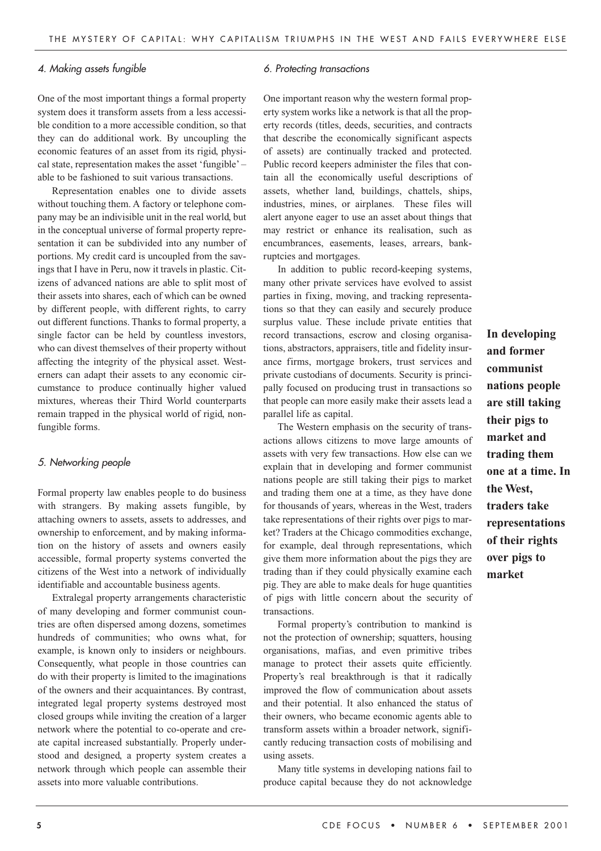#### 4. Making assets fungible

One of the most important things a formal property system does it transform assets from a less accessible condition to a more accessible condition, so that they can do additional work. By uncoupling the economic features of an asset from its rigid, physical state, representation makes the asset 'fungible' – able to be fashioned to suit various transactions.

Representation enables one to divide assets without touching them. A factory or telephone company may be an indivisible unit in the real world, but in the conceptual universe of formal property representation it can be subdivided into any number of portions. My credit card is uncoupled from the savings that I have in Peru, now it travels in plastic. Citizens of advanced nations are able to split most of their assets into shares, each of which can be owned by different people, with different rights, to carry out different functions. Thanks to formal property, a single factor can be held by countless investors, who can divest themselves of their property without affecting the integrity of the physical asset. Westerners can adapt their assets to any economic circumstance to produce continually higher valued mixtures, whereas their Third World counterparts remain trapped in the physical world of rigid, nonfungible forms.

#### 5. Networking people

Formal property law enables people to do business with strangers. By making assets fungible, by attaching owners to assets, assets to addresses, and ownership to enforcement, and by making information on the history of assets and owners easily accessible, formal property systems converted the citizens of the West into a network of individually identifiable and accountable business agents.

Extralegal property arrangements characteristic of many developing and former communist countries are often dispersed among dozens, sometimes hundreds of communities; who owns what, for example, is known only to insiders or neighbours. Consequently, what people in those countries can do with their property is limited to the imaginations of the owners and their acquaintances. By contrast, integrated legal property systems destroyed most closed groups while inviting the creation of a larger network where the potential to co-operate and create capital increased substantially. Properly understood and designed, a property system creates a network through which people can assemble their assets into more valuable contributions.

#### 6. Protecting transactions

One important reason why the western formal property system works like a network is that all the property records (titles, deeds, securities, and contracts that describe the economically significant aspects of assets) are continually tracked and protected. Public record keepers administer the files that contain all the economically useful descriptions of assets, whether land, buildings, chattels, ships, industries, mines, or airplanes. These files will alert anyone eager to use an asset about things that may restrict or enhance its realisation, such as encumbrances, easements, leases, arrears, bankruptcies and mortgages.

In addition to public record-keeping systems, many other private services have evolved to assist parties in fixing, moving, and tracking representations so that they can easily and securely produce surplus value. These include private entities that record transactions, escrow and closing organisations, abstractors, appraisers, title and fidelity insurance firms, mortgage brokers, trust services and private custodians of documents. Security is principally focused on producing trust in transactions so that people can more easily make their assets lead a parallel life as capital.

The Western emphasis on the security of transactions allows citizens to move large amounts of assets with very few transactions. How else can we explain that in developing and former communist nations people are still taking their pigs to market and trading them one at a time, as they have done for thousands of years, whereas in the West, traders take representations of their rights over pigs to market? Traders at the Chicago commodities exchange, for example, deal through representations, which give them more information about the pigs they are trading than if they could physically examine each pig. They are able to make deals for huge quantities of pigs with little concern about the security of transactions.

Formal property's contribution to mankind is not the protection of ownership; squatters, housing organisations, mafias, and even primitive tribes manage to protect their assets quite efficiently. Property's real breakthrough is that it radically improved the flow of communication about assets and their potential. It also enhanced the status of their owners, who became economic agents able to transform assets within a broader network, significantly reducing transaction costs of mobilising and using assets.

Many title systems in developing nations fail to produce capital because they do not acknowledge **In developing and former communist nations people are still taking their pigs to market and trading them one at a time. In the West, traders take representations of their rights over pigs to market**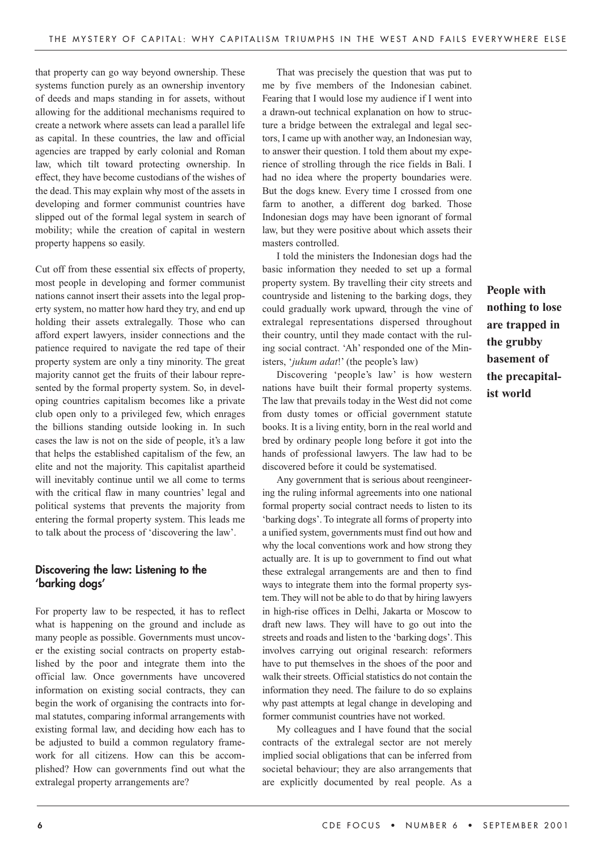that property can go way beyond ownership. These systems function purely as an ownership inventory of deeds and maps standing in for assets, without allowing for the additional mechanisms required to create a network where assets can lead a parallel life as capital. In these countries, the law and official agencies are trapped by early colonial and Roman law, which tilt toward protecting ownership. In effect, they have become custodians of the wishes of the dead. This may explain why most of the assets in developing and former communist countries have slipped out of the formal legal system in search of mobility; while the creation of capital in western property happens so easily.

Cut off from these essential six effects of property, most people in developing and former communist nations cannot insert their assets into the legal property system, no matter how hard they try, and end up holding their assets extralegally. Those who can afford expert lawyers, insider connections and the patience required to navigate the red tape of their property system are only a tiny minority. The great majority cannot get the fruits of their labour represented by the formal property system. So, in developing countries capitalism becomes like a private club open only to a privileged few, which enrages the billions standing outside looking in. In such cases the law is not on the side of people, it's a law that helps the established capitalism of the few, an elite and not the majority. This capitalist apartheid will inevitably continue until we all come to terms with the critical flaw in many countries' legal and political systems that prevents the majority from entering the formal property system. This leads me to talk about the process of 'discovering the law'.

# **Discovering the law: Listening to the 'barking dogs'**

For property law to be respected, it has to reflect what is happening on the ground and include as many people as possible. Governments must uncover the existing social contracts on property established by the poor and integrate them into the official law. Once governments have uncovered information on existing social contracts, they can begin the work of organising the contracts into formal statutes, comparing informal arrangements with existing formal law, and deciding how each has to be adjusted to build a common regulatory framework for all citizens. How can this be accomplished? How can governments find out what the extralegal property arrangements are?

That was precisely the question that was put to me by five members of the Indonesian cabinet. Fearing that I would lose my audience if I went into a drawn-out technical explanation on how to structure a bridge between the extralegal and legal sectors, I came up with another way, an Indonesian way, to answer their question. I told them about my experience of strolling through the rice fields in Bali. I had no idea where the property boundaries were. But the dogs knew. Every time I crossed from one farm to another, a different dog barked. Those Indonesian dogs may have been ignorant of formal law, but they were positive about which assets their masters controlled.

I told the ministers the Indonesian dogs had the basic information they needed to set up a formal property system. By travelling their city streets and countryside and listening to the barking dogs, they could gradually work upward, through the vine of extralegal representations dispersed throughout their country, until they made contact with the ruling social contract. 'Ah' responded one of the Ministers, '*jukum adat*!' (the people's law)

Discovering 'people's law' is how western nations have built their formal property systems. The law that prevails today in the West did not come from dusty tomes or official government statute books. It is a living entity, born in the real world and bred by ordinary people long before it got into the hands of professional lawyers. The law had to be discovered before it could be systematised.

Any government that is serious about reengineering the ruling informal agreements into one national formal property social contract needs to listen to its 'barking dogs'. To integrate all forms of property into a unified system, governments must find out how and why the local conventions work and how strong they actually are. It is up to government to find out what these extralegal arrangements are and then to find ways to integrate them into the formal property system. They will not be able to do that by hiring lawyers in high-rise offices in Delhi, Jakarta or Moscow to draft new laws. They will have to go out into the streets and roads and listen to the 'barking dogs'. This involves carrying out original research: reformers have to put themselves in the shoes of the poor and walk their streets. Official statistics do not contain the information they need. The failure to do so explains why past attempts at legal change in developing and former communist countries have not worked.

My colleagues and I have found that the social contracts of the extralegal sector are not merely implied social obligations that can be inferred from societal behaviour; they are also arrangements that are explicitly documented by real people. As a

**People with nothing to lose are trapped in the grubby basement of the precapitalist world**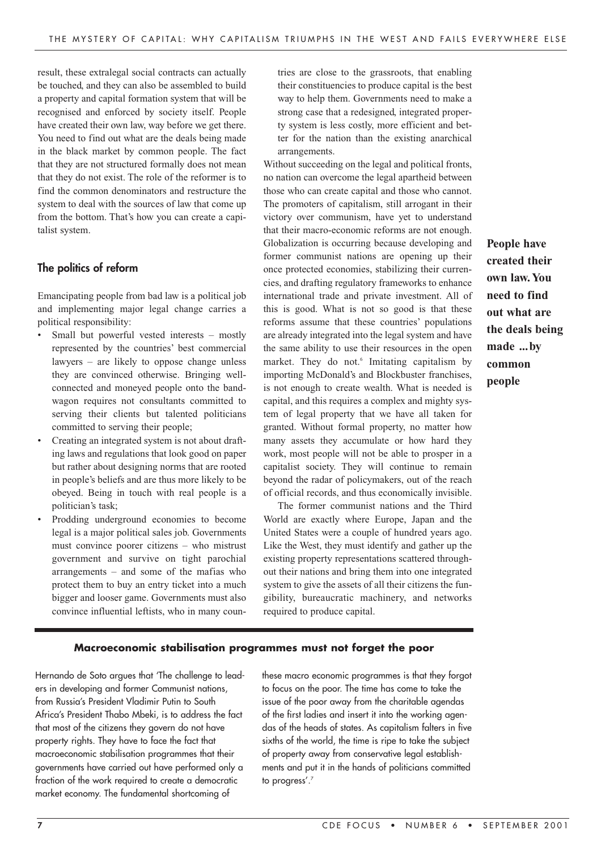result, these extralegal social contracts can actually be touched, and they can also be assembled to build a property and capital formation system that will be recognised and enforced by society itself. People have created their own law, way before we get there. You need to find out what are the deals being made in the black market by common people. The fact that they are not structured formally does not mean that they do not exist. The role of the reformer is to find the common denominators and restructure the system to deal with the sources of law that come up from the bottom. That's how you can create a capitalist system.

# **The politics of reform**

Emancipating people from bad law is a political job and implementing major legal change carries a political responsibility:

- Small but powerful vested interests mostly represented by the countries' best commercial lawyers – are likely to oppose change unless they are convinced otherwise. Bringing wellconnected and moneyed people onto the bandwagon requires not consultants committed to serving their clients but talented politicians committed to serving their people;
- Creating an integrated system is not about drafting laws and regulations that look good on paper but rather about designing norms that are rooted in people's beliefs and are thus more likely to be obeyed. Being in touch with real people is a politician's task;
- Prodding underground economies to become legal is a major political sales job. Governments must convince poorer citizens – who mistrust government and survive on tight parochial arrangements – and some of the mafias who protect them to buy an entry ticket into a much bigger and looser game. Governments must also convince influential leftists, who in many coun-

tries are close to the grassroots, that enabling their constituencies to produce capital is the best way to help them. Governments need to make a strong case that a redesigned, integrated property system is less costly, more efficient and better for the nation than the existing anarchical arrangements.

Without succeeding on the legal and political fronts, no nation can overcome the legal apartheid between those who can create capital and those who cannot. The promoters of capitalism, still arrogant in their victory over communism, have yet to understand that their macro-economic reforms are not enough. Globalization is occurring because developing and former communist nations are opening up their once protected economies, stabilizing their currencies, and drafting regulatory frameworks to enhance international trade and private investment. All of this is good. What is not so good is that these reforms assume that these countries' populations are already integrated into the legal system and have the same ability to use their resources in the open market. They do not.<sup>6</sup> Imitating capitalism by importing McDonald's and Blockbuster franchises, is not enough to create wealth. What is needed is capital, and this requires a complex and mighty system of legal property that we have all taken for granted. Without formal property, no matter how many assets they accumulate or how hard they work, most people will not be able to prosper in a capitalist society. They will continue to remain beyond the radar of policymakers, out of the reach of official records, and thus economically invisible.

The former communist nations and the Third World are exactly where Europe, Japan and the United States were a couple of hundred years ago. Like the West, they must identify and gather up the existing property representations scattered throughout their nations and bring them into one integrated system to give the assets of all their citizens the fungibility, bureaucratic machinery, and networks required to produce capital.

**People have created their own law.You need to find out what are the deals being made ...by common people** 

## **Macroeconomic stabilisation programmes must not forget the poor**

Hernando de Soto argues that 'The challenge to leaders in developing and former Communist nations, from Russia's President Vladimir Putin to South Africa's President Thabo Mbeki, is to address the fact that most of the citizens they govern do not have property rights. They have to face the fact that macroeconomic stabilisation programmes that their governments have carried out have performed only a fraction of the work required to create a democratic market economy. The fundamental shortcoming of

these macro economic programmes is that they forgot to focus on the poor. The time has come to take the issue of the poor away from the charitable agendas of the first ladies and insert it into the working agendas of the heads of states. As capitalism falters in five sixths of the world, the time is ripe to take the subject of property away from conservative legal establishments and put it in the hands of politicians committed to progress'.7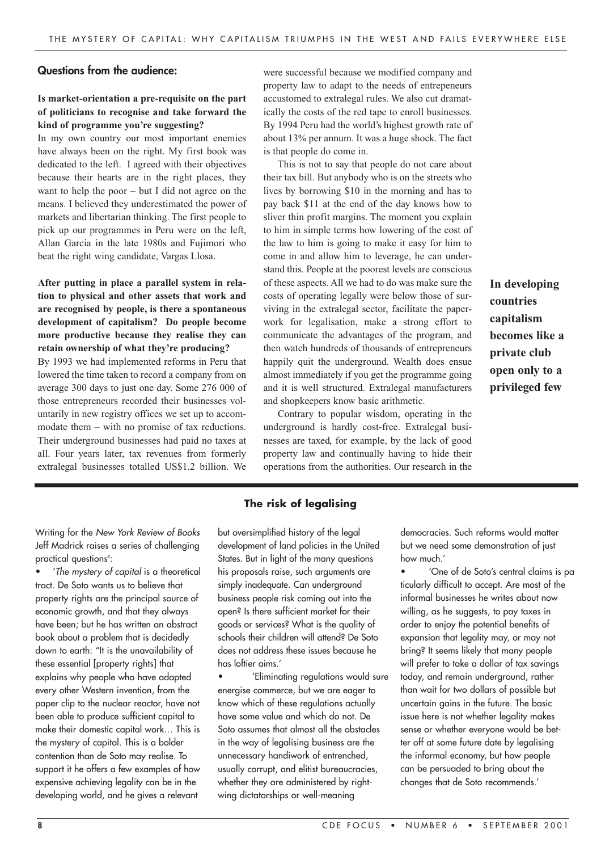#### **Questions from the audience:**

#### **Is market-orientation a pre-requisite on the part of politicians to recognise and take forward the kind of programme you're suggesting?**

In my own country our most important enemies have always been on the right. My first book was dedicated to the left. I agreed with their objectives because their hearts are in the right places, they want to help the poor – but I did not agree on the means. I believed they underestimated the power of markets and libertarian thinking. The first people to pick up our programmes in Peru were on the left, Allan Garcia in the late 1980s and Fujimori who beat the right wing candidate, Vargas Llosa.

# **After putting in place a parallel system in relation to physical and other assets that work and are recognised by people, is there a spontaneous development of capitalism? Do people become more productive because they realise they can retain ownership of what they're producing?**

By 1993 we had implemented reforms in Peru that lowered the time taken to record a company from on average 300 days to just one day. Some 276 000 of those entrepreneurs recorded their businesses voluntarily in new registry offices we set up to accommodate them – with no promise of tax reductions. Their underground businesses had paid no taxes at all. Four years later, tax revenues from formerly extralegal businesses totalled US\$1.2 billion. We

were successful because we modified company and property law to adapt to the needs of entrepeneurs accustomed to extralegal rules. We also cut dramatically the costs of the red tape to enroll businesses. By 1994 Peru had the world's highest growth rate of about 13% per annum. It was a huge shock. The fact is that people do come in.

This is not to say that people do not care about their tax bill. But anybody who is on the streets who lives by borrowing \$10 in the morning and has to pay back \$11 at the end of the day knows how to sliver thin profit margins. The moment you explain to him in simple terms how lowering of the cost of the law to him is going to make it easy for him to come in and allow him to leverage, he can understand this. People at the poorest levels are conscious of these aspects. All we had to do was make sure the costs of operating legally were below those of surviving in the extralegal sector, facilitate the paperwork for legalisation, make a strong effort to communicate the advantages of the program, and then watch hundreds of thousands of entrepreneurs happily quit the underground. Wealth does ensue almost immediately if you get the programme going and it is well structured. Extralegal manufacturers and shopkeepers know basic arithmetic.

Contrary to popular wisdom, operating in the underground is hardly cost-free. Extralegal businesses are taxed, for example, by the lack of good property law and continually having to hide their operations from the authorities. Our research in the

**The risk of legalising**

Writing for the New York Review of Books Jeff Madrick raises a series of challenging practical questions<sup>8</sup>:

• 'The mystery of capital is a theoretical tract. De Soto wants us to believe that property rights are the principal source of economic growth, and that they always have been; but he has written an abstract book about a problem that is decidedly down to earth: "It is the unavailability of these essential [property rights] that explains why people who have adapted every other Western invention, from the paper clip to the nuclear reactor, have not been able to produce sufficient capital to make their domestic capital work… This is the mystery of capital. This is a bolder contention than de Soto may realise. To support it he offers a few examples of how expensive achieving legality can be in the developing world, and he gives a relevant

but oversimplified history of the legal development of land policies in the United States. But in light of the many questions his proposals raise, such arguments are simply inadequate. Can underground business people risk coming out into the open? Is there sufficient market for their goods or services? What is the quality of schools their children will attend? De Soto does not address these issues because he has loftier aims.'

• 'Eliminating regulations would sure energise commerce, but we are eager to know which of these regulations actually have some value and which do not. De Soto assumes that almost all the obstacles in the way of legalising business are the unnecessary handiwork of entrenched, usually corrupt, and elitist bureaucracies, whether they are administered by rightwing dictatorships or well-meaning

democracies. Such reforms would matter but we need some demonstration of just how much.'

**In developing**

**becomes like a private club open only to a privileged few**

**countries capitalism**

• 'One of de Soto's central claims is pa ticularly difficult to accept. Are most of the informal businesses he writes about now willing, as he suggests, to pay taxes in order to enjoy the potential benefits of expansion that legality may, or may not bring? It seems likely that many people will prefer to take a dollar of tax savings today, and remain underground, rather than wait for two dollars of possible but uncertain gains in the future. The basic issue here is not whether legality makes sense or whether everyone would be better off at some future date by legalising the informal economy, but how people can be persuaded to bring about the changes that de Soto recommends.'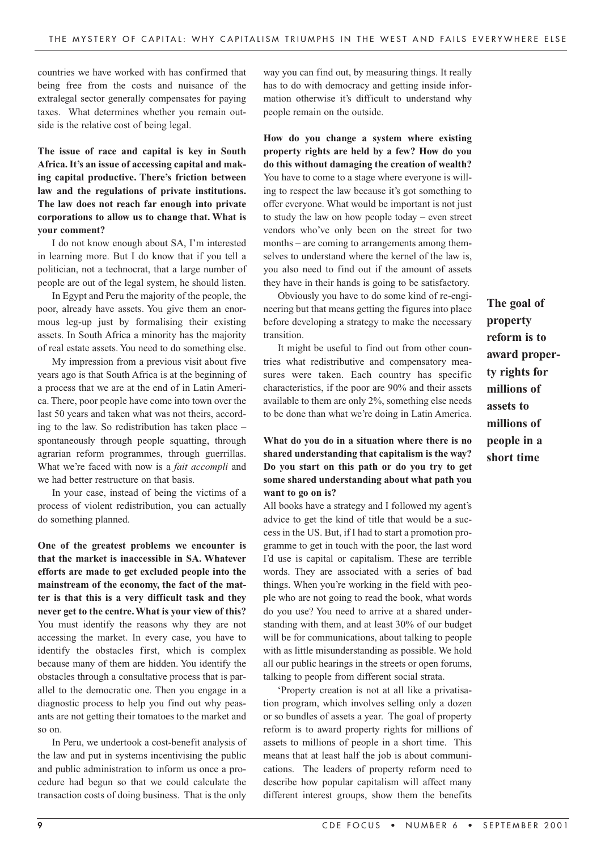countries we have worked with has confirmed that being free from the costs and nuisance of the extralegal sector generally compensates for paying taxes. What determines whether you remain outside is the relative cost of being legal.

**The issue of race and capital is key in South Africa.It's an issue of accessing capital and making capital productive. There's friction between law and the regulations of private institutions. The law does not reach far enough into private corporations to allow us to change that. What is your comment?** 

I do not know enough about SA, I'm interested in learning more. But I do know that if you tell a politician, not a technocrat, that a large number of people are out of the legal system, he should listen.

In Egypt and Peru the majority of the people, the poor, already have assets. You give them an enormous leg-up just by formalising their existing assets. In South Africa a minority has the majority of real estate assets. You need to do something else.

My impression from a previous visit about five years ago is that South Africa is at the beginning of a process that we are at the end of in Latin America. There, poor people have come into town over the last 50 years and taken what was not theirs, according to the law. So redistribution has taken place – spontaneously through people squatting, through agrarian reform programmes, through guerrillas. What we're faced with now is a *fait accompli* and we had better restructure on that basis.

In your case, instead of being the victims of a process of violent redistribution, you can actually do something planned.

**One of the greatest problems we encounter is that the market is inaccessible in SA. Whatever efforts are made to get excluded people into the mainstream of the economy, the fact of the matter is that this is a very difficult task and they never get to the centre.What is your view of this?** You must identify the reasons why they are not accessing the market. In every case, you have to identify the obstacles first, which is complex because many of them are hidden. You identify the obstacles through a consultative process that is parallel to the democratic one. Then you engage in a diagnostic process to help you find out why peasants are not getting their tomatoes to the market and so on.

In Peru, we undertook a cost-benefit analysis of the law and put in systems incentivising the public and public administration to inform us once a procedure had begun so that we could calculate the transaction costs of doing business. That is the only

way you can find out, by measuring things. It really has to do with democracy and getting inside information otherwise it's difficult to understand why people remain on the outside.

**How do you change a system where existing property rights are held by a few? How do you do this without damaging the creation of wealth?** You have to come to a stage where everyone is willing to respect the law because it's got something to offer everyone. What would be important is not just to study the law on how people today – even street vendors who've only been on the street for two months – are coming to arrangements among themselves to understand where the kernel of the law is, you also need to find out if the amount of assets they have in their hands is going to be satisfactory.

Obviously you have to do some kind of re-engineering but that means getting the figures into place before developing a strategy to make the necessary transition.

It might be useful to find out from other countries what redistributive and compensatory measures were taken. Each country has specific characteristics, if the poor are 90% and their assets available to them are only 2%, something else needs to be done than what we're doing in Latin America.

#### **What do you do in a situation where there is no shared understanding that capitalism is the way? Do you start on this path or do you try to get some shared understanding about what path you want to go on is?**

All books have a strategy and I followed my agent's advice to get the kind of title that would be a success in the US. But, if I had to start a promotion programme to get in touch with the poor, the last word I'd use is capital or capitalism. These are terrible words. They are associated with a series of bad things. When you're working in the field with people who are not going to read the book, what words do you use? You need to arrive at a shared understanding with them, and at least 30% of our budget will be for communications, about talking to people with as little misunderstanding as possible. We hold all our public hearings in the streets or open forums, talking to people from different social strata.

'Property creation is not at all like a privatisation program, which involves selling only a dozen or so bundles of assets a year. The goal of property reform is to award property rights for millions of assets to millions of people in a short time. This means that at least half the job is about communications. The leaders of property reform need to describe how popular capitalism will affect many different interest groups, show them the benefits

**The goal of property reform is to award property rights for millions of assets to millions of people in a short time**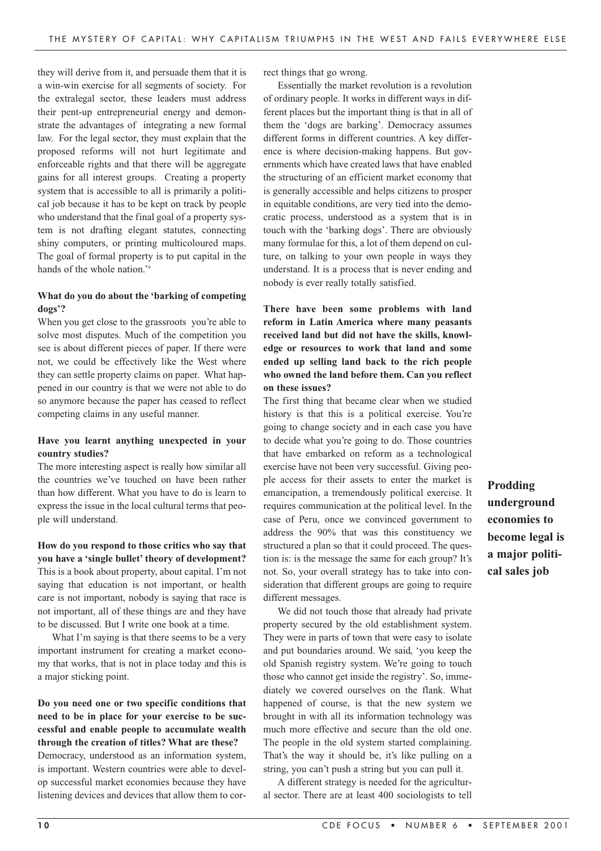they will derive from it, and persuade them that it is a win-win exercise for all segments of society. For the extralegal sector, these leaders must address their pent-up entrepreneurial energy and demonstrate the advantages of integrating a new formal law. For the legal sector, they must explain that the proposed reforms will not hurt legitimate and enforceable rights and that there will be aggregate gains for all interest groups. Creating a property system that is accessible to all is primarily a political job because it has to be kept on track by people who understand that the final goal of a property system is not drafting elegant statutes, connecting shiny computers, or printing multicoloured maps. The goal of formal property is to put capital in the hands of the whole nation.'<sup>9</sup>

#### **What do you do about the 'barking of competing dogs'?**

When you get close to the grassroots you're able to solve most disputes. Much of the competition you see is about different pieces of paper. If there were not, we could be effectively like the West where they can settle property claims on paper. What happened in our country is that we were not able to do so anymore because the paper has ceased to reflect competing claims in any useful manner.

#### **Have you learnt anything unexpected in your country studies?**

The more interesting aspect is really how similar all the countries we've touched on have been rather than how different. What you have to do is learn to express the issue in the local cultural terms that people will understand.

**How do you respond to those critics who say that you have a 'single bullet' theory of development?**  This is a book about property, about capital. I'm not saying that education is not important, or health care is not important, nobody is saying that race is not important, all of these things are and they have to be discussed. But I write one book at a time.

What I'm saying is that there seems to be a very important instrument for creating a market economy that works, that is not in place today and this is a major sticking point.

# **Do you need one or two specific conditions that need to be in place for your exercise to be successful and enable people to accumulate wealth through the creation of titles? What are these?**

Democracy, understood as an information system, is important. Western countries were able to develop successful market economies because they have listening devices and devices that allow them to correct things that go wrong.

Essentially the market revolution is a revolution of ordinary people. It works in different ways in different places but the important thing is that in all of them the 'dogs are barking'. Democracy assumes different forms in different countries. A key difference is where decision-making happens. But governments which have created laws that have enabled the structuring of an efficient market economy that is generally accessible and helps citizens to prosper in equitable conditions, are very tied into the democratic process, understood as a system that is in touch with the 'barking dogs'. There are obviously many formulae for this, a lot of them depend on culture, on talking to your own people in ways they understand. It is a process that is never ending and nobody is ever really totally satisfied.

**There have been some problems with land reform in Latin America where many peasants received land but did not have the skills, knowledge or resources to work that land and some ended up selling land back to the rich people who owned the land before them. Can you reflect on these issues?**

The first thing that became clear when we studied history is that this is a political exercise. You're going to change society and in each case you have to decide what you're going to do. Those countries that have embarked on reform as a technological exercise have not been very successful. Giving people access for their assets to enter the market is emancipation, a tremendously political exercise. It requires communication at the political level. In the case of Peru, once we convinced government to address the 90% that was this constituency we structured a plan so that it could proceed. The question is: is the message the same for each group? It's not. So, your overall strategy has to take into consideration that different groups are going to require different messages.

We did not touch those that already had private property secured by the old establishment system. They were in parts of town that were easy to isolate and put boundaries around. We said, 'you keep the old Spanish registry system. We're going to touch those who cannot get inside the registry'. So, immediately we covered ourselves on the flank. What happened of course, is that the new system we brought in with all its information technology was much more effective and secure than the old one. The people in the old system started complaining. That's the way it should be, it's like pulling on a string, you can't push a string but you can pull it.

A different strategy is needed for the agricultural sector. There are at least 400 sociologists to tell **Prodding underground economies to become legal is a major political sales job**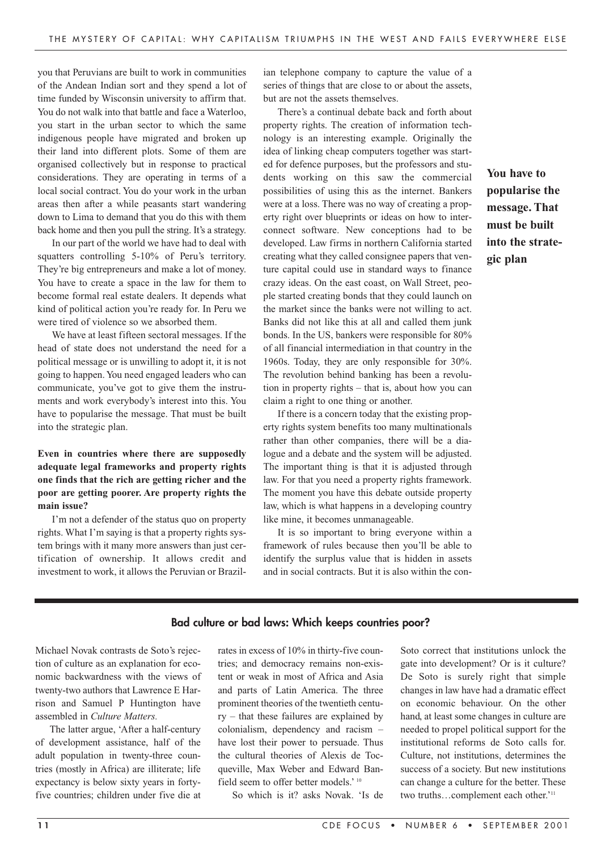you that Peruvians are built to work in communities of the Andean Indian sort and they spend a lot of time funded by Wisconsin university to affirm that. You do not walk into that battle and face a Waterloo, you start in the urban sector to which the same indigenous people have migrated and broken up their land into different plots. Some of them are organised collectively but in response to practical considerations. They are operating in terms of a local social contract. You do your work in the urban areas then after a while peasants start wandering down to Lima to demand that you do this with them back home and then you pull the string. It's a strategy.

In our part of the world we have had to deal with squatters controlling 5-10% of Peru's territory. They're big entrepreneurs and make a lot of money. You have to create a space in the law for them to become formal real estate dealers. It depends what kind of political action you're ready for. In Peru we were tired of violence so we absorbed them.

We have at least fifteen sectoral messages. If the head of state does not understand the need for a political message or is unwilling to adopt it, it is not going to happen. You need engaged leaders who can communicate, you've got to give them the instruments and work everybody's interest into this. You have to popularise the message. That must be built into the strategic plan.

## **Even in countries where there are supposedly adequate legal frameworks and property rights one finds that the rich are getting richer and the poor are getting poorer. Are property rights the main issue?**

I'm not a defender of the status quo on property rights. What I'm saying is that a property rights system brings with it many more answers than just certification of ownership. It allows credit and investment to work, it allows the Peruvian or Brazilian telephone company to capture the value of a series of things that are close to or about the assets, but are not the assets themselves.

There's a continual debate back and forth about property rights. The creation of information technology is an interesting example. Originally the idea of linking cheap computers together was started for defence purposes, but the professors and students working on this saw the commercial possibilities of using this as the internet. Bankers were at a loss. There was no way of creating a property right over blueprints or ideas on how to interconnect software. New conceptions had to be developed. Law firms in northern California started creating what they called consignee papers that venture capital could use in standard ways to finance crazy ideas. On the east coast, on Wall Street, people started creating bonds that they could launch on the market since the banks were not willing to act. Banks did not like this at all and called them junk bonds. In the US, bankers were responsible for 80% of all financial intermediation in that country in the 1960s. Today, they are only responsible for 30%. The revolution behind banking has been a revolution in property rights – that is, about how you can claim a right to one thing or another.

If there is a concern today that the existing property rights system benefits too many multinationals rather than other companies, there will be a dialogue and a debate and the system will be adjusted. The important thing is that it is adjusted through law. For that you need a property rights framework. The moment you have this debate outside property law, which is what happens in a developing country like mine, it becomes unmanageable.

It is so important to bring everyone within a framework of rules because then you'll be able to identify the surplus value that is hidden in assets and in social contracts. But it is also within the con-

**You have to popularise the message. That must be built into the strategic plan**

#### **Bad culture or bad laws: Which keeps countries poor?**

Michael Novak contrasts de Soto's rejection of culture as an explanation for economic backwardness with the views of twenty-two authors that Lawrence E Harrison and Samuel P Huntington have assembled in *Culture Matters.*

The latter argue, 'After a half-century of development assistance, half of the adult population in twenty-three countries (mostly in Africa) are illiterate; life expectancy is below sixty years in fortyfive countries; children under five die at rates in excess of 10% in thirty-five countries; and democracy remains non-existent or weak in most of Africa and Asia and parts of Latin America. The three prominent theories of the twentieth century – that these failures are explained by colonialism, dependency and racism – have lost their power to persuade. Thus the cultural theories of Alexis de Tocqueville, Max Weber and Edward Banfield seem to offer better models.' <sup>10</sup>

So which is it? asks Novak. 'Is de

Soto correct that institutions unlock the gate into development? Or is it culture? De Soto is surely right that simple changes in law have had a dramatic effect on economic behaviour. On the other hand, at least some changes in culture are needed to propel political support for the institutional reforms de Soto calls for. Culture, not institutions, determines the success of a society. But new institutions can change a culture for the better. These two truths…complement each other.' 11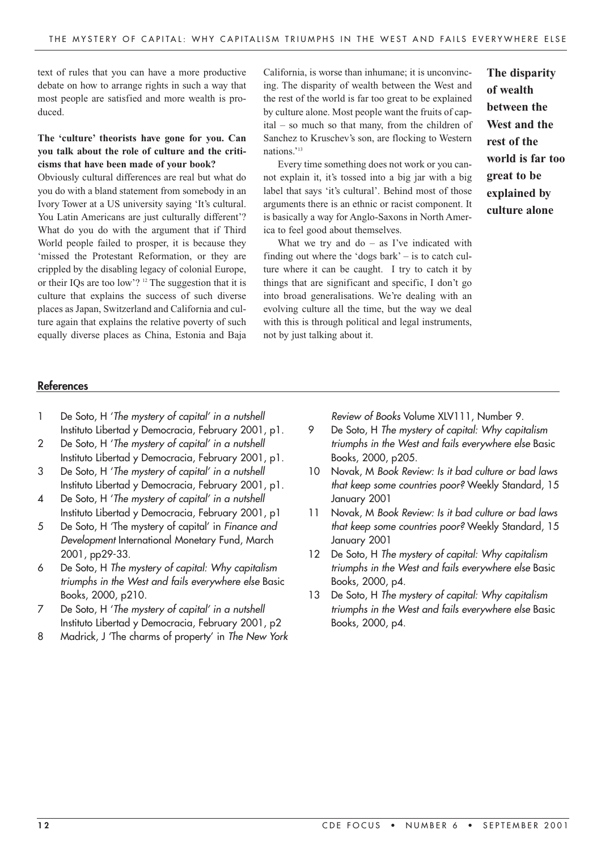text of rules that you can have a more productive debate on how to arrange rights in such a way that most people are satisfied and more wealth is produced.

# **The 'culture' theorists have gone for you. Can you talk about the role of culture and the criticisms that have been made of your book?**

Obviously cultural differences are real but what do you do with a bland statement from somebody in an Ivory Tower at a US university saying 'It's cultural. You Latin Americans are just culturally different'? What do you do with the argument that if Third World people failed to prosper, it is because they 'missed the Protestant Reformation, or they are crippled by the disabling legacy of colonial Europe, or their IQs are too low'? 12 The suggestion that it is culture that explains the success of such diverse places as Japan, Switzerland and California and culture again that explains the relative poverty of such equally diverse places as China, Estonia and Baja California, is worse than inhumane; it is unconvincing. The disparity of wealth between the West and the rest of the world is far too great to be explained by culture alone. Most people want the fruits of capital – so much so that many, from the children of Sanchez to Kruschev's son, are flocking to Western nations.' 13

Every time something does not work or you cannot explain it, it's tossed into a big jar with a big label that says 'it's cultural'. Behind most of those arguments there is an ethnic or racist component. It is basically a way for Anglo-Saxons in North America to feel good about themselves.

What we try and  $do - as I've indicated with$ finding out where the 'dogs bark' – is to catch culture where it can be caught. I try to catch it by things that are significant and specific, I don't go into broad generalisations. We're dealing with an evolving culture all the time, but the way we deal with this is through political and legal instruments, not by just talking about it.

**The disparity of wealth between the West and the rest of the world is far too great to be explained by culture alone**

#### **References**

- 1 De Soto, H 'The mystery of capital' in a nutshell Instituto Libertad y Democracia, February 2001, p1.
- 2 De Soto, H 'The mystery of capital' in a nutshell Instituto Libertad y Democracia, February 2001, p1.
- 3 De Soto, H 'The mystery of capital' in a nutshell Instituto Libertad y Democracia, February 2001, p1.
- 4 De Soto, H 'The mystery of capital' in a nutshell Instituto Libertad y Democracia, February 2001, p1
- 5 De Soto, H 'The mystery of capital' in Finance and Development International Monetary Fund, March 2001, pp29-33.
- 6 De Soto, H The mystery of capital: Why capitalism triumphs in the West and fails everywhere else Basic Books, 2000, p210.
- 7 De Soto, H 'The mystery of capital' in a nutshell Instituto Libertad y Democracia, February 2001, p2
- 8 Madrick, J 'The charms of property' in The New York

Review of Books Volume XLV111, Number 9.

- 9 De Soto, H The mystery of capital: Why capitalism triumphs in the West and fails everywhere else Basic Books, 2000, p205.
- 10 Novak, M Book Review: Is it bad culture or bad laws that keep some countries poor? Weekly Standard, 15 January 2001
- 11 Novak, M Book Review: Is it bad culture or bad laws that keep some countries poor? Weekly Standard, 15 January 2001
- 12 De Soto, H The mystery of capital: Why capitalism triumphs in the West and fails everywhere else Basic Books, 2000, p4.
- 13 De Soto, H The mystery of capital: Why capitalism triumphs in the West and fails everywhere else Basic Books, 2000, p4.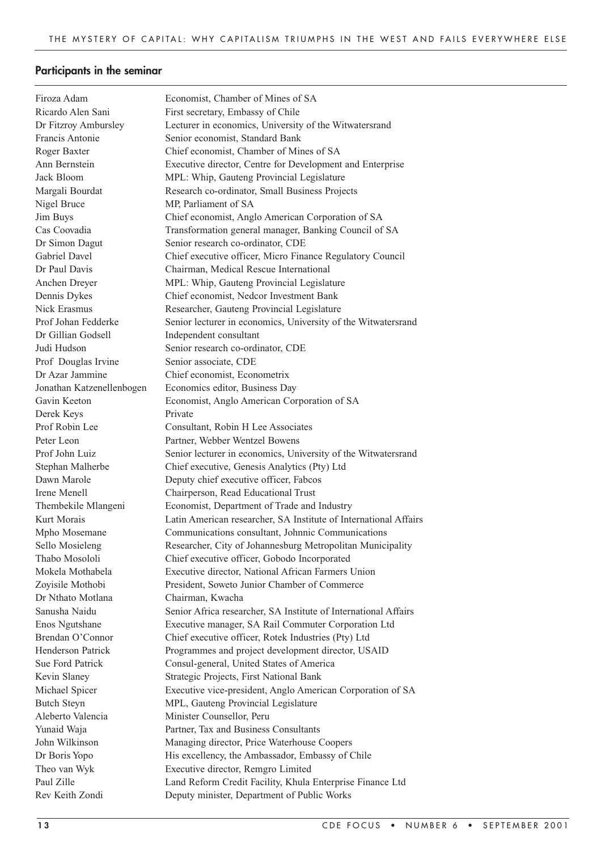# **Participants in the seminar**

| Firoza Adam               | Economist, Chamber of Mines of SA                                |
|---------------------------|------------------------------------------------------------------|
| Ricardo Alen Sani         | First secretary, Embassy of Chile                                |
| Dr Fitzroy Ambursley      | Lecturer in economics, University of the Witwatersrand           |
| Francis Antonie           | Senior economist, Standard Bank                                  |
| Roger Baxter              | Chief economist, Chamber of Mines of SA                          |
| Ann Bernstein             | Executive director, Centre for Development and Enterprise        |
| Jack Bloom                | MPL: Whip, Gauteng Provincial Legislature                        |
| Margali Bourdat           | Research co-ordinator, Small Business Projects                   |
| Nigel Bruce               | MP, Parliament of SA                                             |
| Jim Buys                  | Chief economist, Anglo American Corporation of SA                |
| Cas Coovadia              | Transformation general manager, Banking Council of SA            |
| Dr Simon Dagut            | Senior research co-ordinator, CDE                                |
| Gabriel Davel             | Chief executive officer, Micro Finance Regulatory Council        |
| Dr Paul Davis             | Chairman, Medical Rescue International                           |
| Anchen Dreyer             | MPL: Whip, Gauteng Provincial Legislature                        |
| Dennis Dykes              | Chief economist, Nedcor Investment Bank                          |
| Nick Erasmus              | Researcher, Gauteng Provincial Legislature                       |
| Prof Johan Fedderke       | Senior lecturer in economics, University of the Witwatersrand    |
| Dr Gillian Godsell        | Independent consultant                                           |
| Judi Hudson               | Senior research co-ordinator, CDE                                |
| Prof Douglas Irvine       | Senior associate, CDE                                            |
| Dr Azar Jammine           | Chief economist, Econometrix                                     |
| Jonathan Katzenellenbogen | Economics editor, Business Day                                   |
| Gavin Keeton              | Economist, Anglo American Corporation of SA                      |
| Derek Keys                | Private                                                          |
| Prof Robin Lee            | Consultant, Robin H Lee Associates                               |
| Peter Leon                | Partner, Webber Wentzel Bowens                                   |
| Prof John Luiz            | Senior lecturer in economics, University of the Witwatersrand    |
| Stephan Malherbe          | Chief executive, Genesis Analytics (Pty) Ltd                     |
| Dawn Marole               | Deputy chief executive officer, Fabcos                           |
| Irene Menell              | Chairperson, Read Educational Trust                              |
| Thembekile Mlangeni       | Economist, Department of Trade and Industry                      |
| Kurt Morais               | Latin American researcher, SA Institute of International Affairs |
| Mpho Mosemane             | Communications consultant, Johnnic Communications                |
| Sello Mosieleng           | Researcher, City of Johannesburg Metropolitan Municipality       |
| Thabo Mosololi            | Chief executive officer, Gobodo Incorporated                     |
| Mokela Mothabela          | Executive director, National African Farmers Union               |
| Zoyisile Mothobi          | President, Soweto Junior Chamber of Commerce                     |
| Dr Nthato Motlana         | Chairman, Kwacha                                                 |
| Sanusha Naidu             | Senior Africa researcher, SA Institute of International Affairs  |
| Enos Ngutshane            | Executive manager, SA Rail Commuter Corporation Ltd              |
| Brendan O'Connor          | Chief executive officer, Rotek Industries (Pty) Ltd              |
| <b>Henderson Patrick</b>  | Programmes and project development director, USAID               |
| Sue Ford Patrick          | Consul-general, United States of America                         |
| Kevin Slaney              | Strategic Projects, First National Bank                          |
| Michael Spicer            | Executive vice-president, Anglo American Corporation of SA       |
| <b>Butch Steyn</b>        | MPL, Gauteng Provincial Legislature                              |
| Aleberto Valencia         | Minister Counsellor, Peru                                        |
| Yunaid Waja               | Partner, Tax and Business Consultants                            |
| John Wilkinson            | Managing director, Price Waterhouse Coopers                      |
| Dr Boris Yopo             | His excellency, the Ambassador, Embassy of Chile                 |
| Theo van Wyk              | Executive director, Remgro Limited                               |
| Paul Zille                | Land Reform Credit Facility, Khula Enterprise Finance Ltd        |
| Rev Keith Zondi           | Deputy minister, Department of Public Works                      |